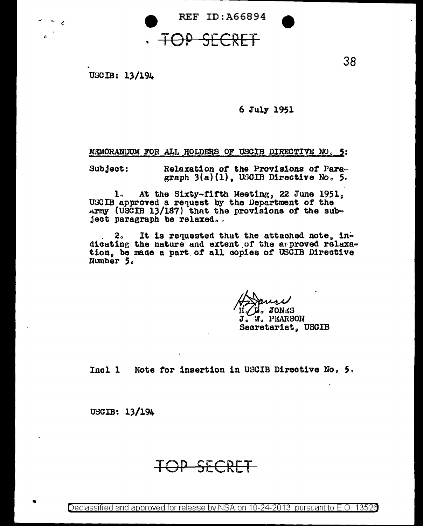

## SECRET

USCIB: 13/194

 $\sim$   $\epsilon$ 

## 6 July 1951

38

MEMORANDUM FOR ALL HOLDERS OF USCIB DIRECTIVE NO. 5:

 $Sub$   $]$ ect: Relaxation of the Provisions of Paragraph  $3(a)(1)$ . USCIB Directive No. 5.

1. At the Sixty-fifth Meeting, 22 June 1951, USCIB approved a request by the Department of the Army (USCIB 13/187) that the provisions of the subject paragraph be relaxed.

2. It is requested that the attached note,  $in^{\omega}$ dicating the nature and extent of the arproved relaxation, be made a part of all copies of USCIB Directive Number 5.

D. JONES J. W. PEARSON Secretariat. USCIB

Incl 1 Note for insertion in USCIB Directive No. 5.

USCIB: 13/194

IOP SECRET